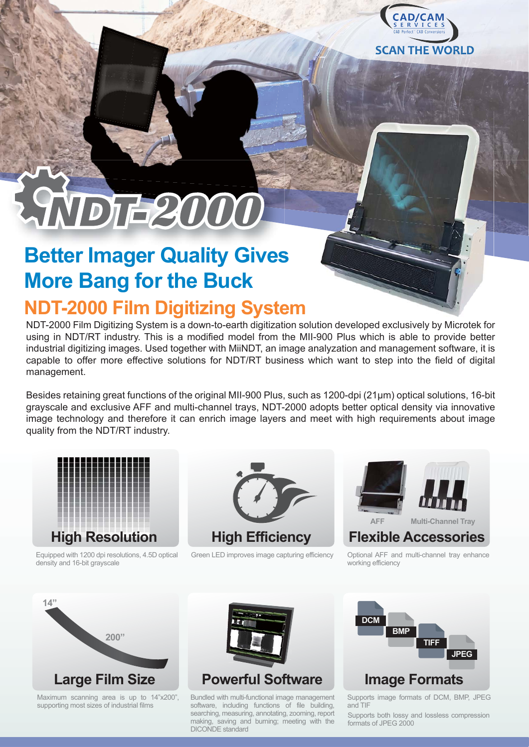

# AVDIE2000

# **Better Imager Quality Gives More Bang for the Buck**

# **NDT-2000 Film Digitizing System**

NDT-2000 Film Digitizing System is a down-to-earth digitization solution developed exclusively by Microtek for using in NDT/RT industry. This is a modified model from the MII-900 Plus which is able to provide better industrial digitizing images. Used together with MiiNDT, an image analyzation and management software, it is capable to offer more effective solutions for NDT/RT business which want to step into the field of digital management.

Besides retaining great functions of the original MII-900 Plus, such as 1200-dpi (21μm) optical solutions, 16-bit grayscale and exclusive AFF and multi-channel trays, NDT-2000 adopts better optical density via innovative image technology and therefore it can enrich image layers and meet with high requirements about image quality from the NDT/RT industry.



Equipped with 1200 dpi resolutions, 4.5D optical density and 16-bit grayscale



Green LED improves image capturing efficiency Optional AFF and multi-channel tray enhance



working efficiency



Maximum scanning area is up to 14"x200", supporting most sizes of industrial films



Bundled with multi-functional image management software, including functions of file building, searching, measuring, annotating, zooming, report making, saving and burning; meeting with the DICONDE standard



Supports image formats of DCM, BMP, JPEG and TIF

Supports both lossy and lossless compression formats of JPEG 2000